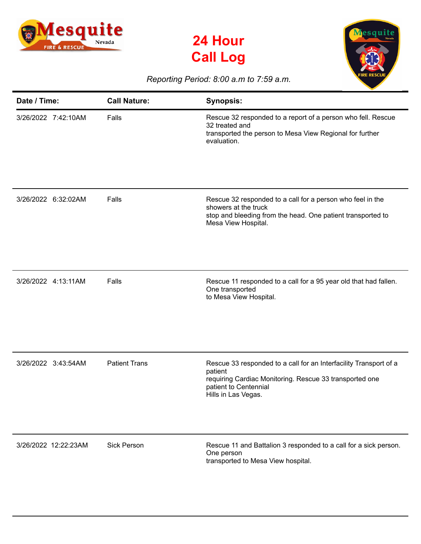





## *Reporting Period: 8:00 a.m to 7:59 a.m.*

| Date / Time:         | <b>Call Nature:</b>  | <b>Synopsis:</b>                                                                                                                                                                        |
|----------------------|----------------------|-----------------------------------------------------------------------------------------------------------------------------------------------------------------------------------------|
| 3/26/2022 7:42:10AM  | Falls                | Rescue 32 responded to a report of a person who fell. Rescue<br>32 treated and<br>transported the person to Mesa View Regional for further<br>evaluation.                               |
| 3/26/2022 6:32:02AM  | Falls                | Rescue 32 responded to a call for a person who feel in the<br>showers at the truck<br>stop and bleeding from the head. One patient transported to<br>Mesa View Hospital.                |
| 3/26/2022 4:13:11AM  | Falls                | Rescue 11 responded to a call for a 95 year old that had fallen.<br>One transported<br>to Mesa View Hospital.                                                                           |
| 3/26/2022 3:43:54AM  | <b>Patient Trans</b> | Rescue 33 responded to a call for an Interfacility Transport of a<br>patient<br>requiring Cardiac Monitoring. Rescue 33 transported one<br>patient to Centennial<br>Hills in Las Vegas. |
| 3/26/2022 12:22:23AM | <b>Sick Person</b>   | Rescue 11 and Battalion 3 responded to a call for a sick person.<br>One person<br>transported to Mesa View hospital.                                                                    |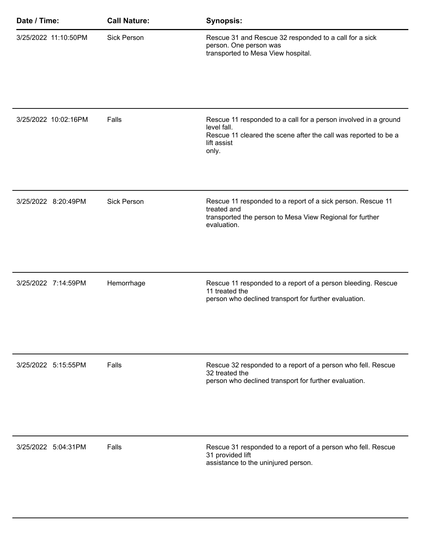| Date / Time:         | <b>Call Nature:</b> | <b>Synopsis:</b>                                                                                                                                                          |
|----------------------|---------------------|---------------------------------------------------------------------------------------------------------------------------------------------------------------------------|
| 3/25/2022 11:10:50PM | <b>Sick Person</b>  | Rescue 31 and Rescue 32 responded to a call for a sick<br>person. One person was<br>transported to Mesa View hospital.                                                    |
|                      |                     |                                                                                                                                                                           |
| 3/25/2022 10:02:16PM | Falls               | Rescue 11 responded to a call for a person involved in a ground<br>level fall.<br>Rescue 11 cleared the scene after the call was reported to be a<br>lift assist<br>only. |
|                      |                     |                                                                                                                                                                           |
| 3/25/2022 8:20:49PM  | <b>Sick Person</b>  | Rescue 11 responded to a report of a sick person. Rescue 11<br>treated and<br>transported the person to Mesa View Regional for further<br>evaluation.                     |
|                      |                     |                                                                                                                                                                           |
| 3/25/2022 7:14:59PM  | Hemorrhage          | Rescue 11 responded to a report of a person bleeding. Rescue<br>11 treated the<br>person who declined transport for further evaluation.                                   |
| 3/25/2022 5:15:55PM  | Falls               | Rescue 32 responded to a report of a person who fell. Rescue<br>32 treated the<br>person who declined transport for further evaluation.                                   |
|                      |                     |                                                                                                                                                                           |
| 3/25/2022 5:04:31PM  | Falls               | Rescue 31 responded to a report of a person who fell. Rescue<br>31 provided lift<br>assistance to the uninjured person.                                                   |